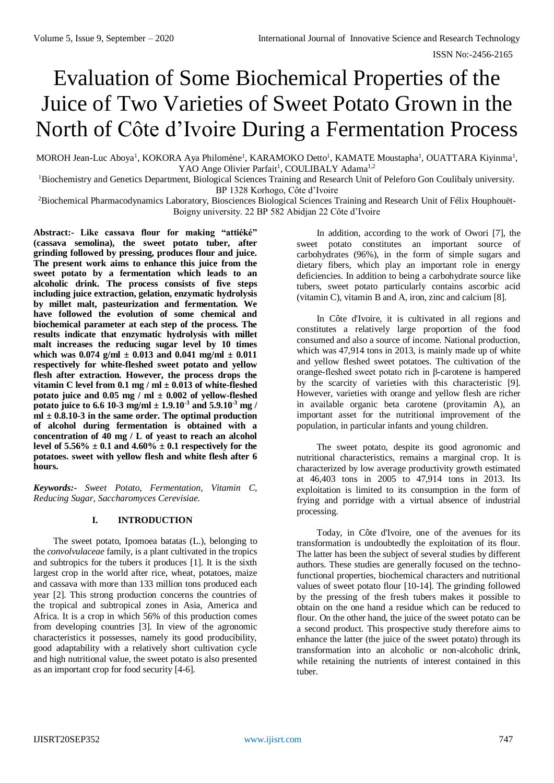ISSN No:-2456-2165

# Evaluation of Some Biochemical Properties of the Juice of Two Varieties of Sweet Potato Grown in the North of Côte d'Ivoire During a Fermentation Process

MOROH Jean-Luc Aboya<sup>1</sup>, KOKORA Aya Philomène<sup>1</sup>, KARAMOKO Detto<sup>1</sup>, KAMATE Moustapha<sup>1</sup>, OUATTARA Kiyinma<sup>1</sup>, YAO Ange Olivier Parfait<sup>1</sup>, COULIBALY Adama<sup>1,2</sup>

<sup>1</sup>Biochemistry and Genetics Department, Biological Sciences Training and Research Unit of Peleforo Gon Coulibaly university. BP 1328 Korhogo, Côte d'Ivoire

<sup>2</sup>Biochemical Pharmacodynamics Laboratory, Biosciences Biological Sciences Training and Research Unit of Félix Houphouët-Boigny university. 22 BP 582 Abidjan 22 Côte d'Ivoire

**Abstract:- Like cassava flour for making "attiéké" (cassava semolina), the sweet potato tuber, after grinding followed by pressing, produces flour and juice. The present work aims to enhance this juice from the sweet potato by a fermentation which leads to an alcoholic drink. The process consists of five steps including juice extraction, gelation, enzymatic hydrolysis by millet malt, pasteurization and fermentation. We have followed the evolution of some chemical and biochemical parameter at each step of the process. The results indicate that enzymatic hydrolysis with millet malt increases the reducing sugar level by 10 times which was 0.074 g/ml ± 0.013 and 0.041 mg/ml ± 0.011 respectively for white-fleshed sweet potato and yellow flesh after extraction. However, the process drops the vitamin C level from 0.1 mg / ml ± 0.013 of white-fleshed potato juice and 0.05 mg / ml ± 0.002 of yellow-fleshed potato juice to 6.6 10-3 mg/ml ± 1.9.10-3 and 5.9.10-3 mg / ml ± 0.8.10-3 in the same order. The optimal production of alcohol during fermentation is obtained with a concentration of 40 mg / L of yeast to reach an alcohol**  level of  $5.56\% \pm 0.1$  and  $4.60\% \pm 0.1$  respectively for the **potatoes. sweet with yellow flesh and white flesh after 6 hours.**

*Keywords:- Sweet Potato, Fermentation, Vitamin C, Reducing Sugar, Saccharomyces Cerevisiae.*

## **I. INTRODUCTION**

The sweet potato, Ipomoea batatas (L.), belonging to the *convolvulaceae* family, is a plant cultivated in the tropics and subtropics for the tubers it produces [1]. It is the sixth largest crop in the world after rice, wheat, potatoes, maize and cassava with more than 133 million tons produced each year [2]. This strong production concerns the countries of the tropical and subtropical zones in Asia, America and Africa. It is a crop in which 56% of this production comes from developing countries [3]. In view of the agronomic characteristics it possesses, namely its good producibility, good adaptability with a relatively short cultivation cycle and high nutritional value, the sweet potato is also presented as an important crop for food security [4-6].

In addition, according to the work of Owori [7], the sweet potato constitutes an important source of carbohydrates (96%), in the form of simple sugars and dietary fibers, which play an important role in energy deficiencies. In addition to being a carbohydrate source like tubers, sweet potato particularly contains ascorbic acid (vitamin C), vitamin B and A, iron, zinc and calcium [8].

In Côte d'Ivoire, it is cultivated in all regions and constitutes a relatively large proportion of the food consumed and also a source of income. National production, which was 47,914 tons in 2013, is mainly made up of white and yellow fleshed sweet potatoes. The cultivation of the orange-fleshed sweet potato rich in β-carotene is hampered by the scarcity of varieties with this characteristic [9]. However, varieties with orange and yellow flesh are richer in available organic beta carotene (provitamin A), an important asset for the nutritional improvement of the population, in particular infants and young children.

The sweet potato, despite its good agronomic and nutritional characteristics, remains a marginal crop. It is characterized by low average productivity growth estimated at 46,403 tons in 2005 to 47,914 tons in 2013. Its exploitation is limited to its consumption in the form of frying and porridge with a virtual absence of industrial processing.

Today, in Côte d'Ivoire, one of the avenues for its transformation is undoubtedly the exploitation of its flour. The latter has been the subject of several studies by different authors. These studies are generally focused on the technofunctional properties, biochemical characters and nutritional values of sweet potato flour [10-14]. The grinding followed by the pressing of the fresh tubers makes it possible to obtain on the one hand a residue which can be reduced to flour. On the other hand, the juice of the sweet potato can be a second product. This prospective study therefore aims to enhance the latter (the juice of the sweet potato) through its transformation into an alcoholic or non-alcoholic drink, while retaining the nutrients of interest contained in this tuber.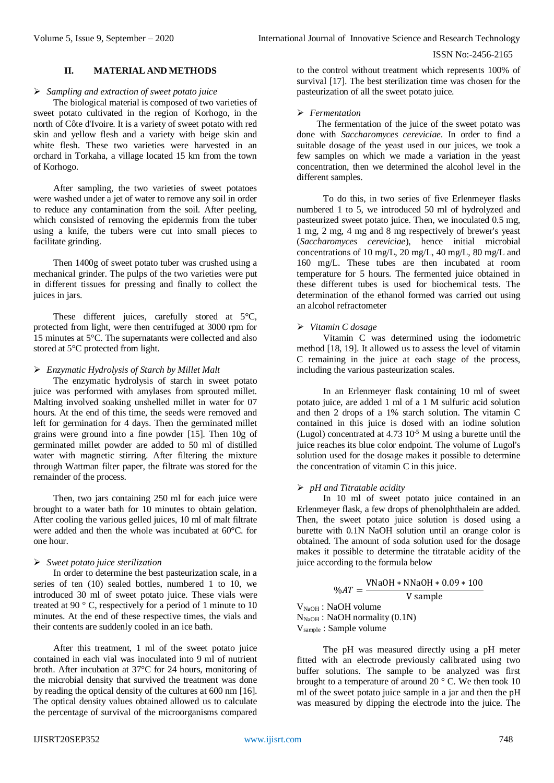# **II. MATERIAL AND METHODS**

## *Sampling and extraction of sweet potato juice*

The biological material is composed of two varieties of sweet potato cultivated in the region of Korhogo, in the north of Côte d'Ivoire. It is a variety of sweet potato with red skin and yellow flesh and a variety with beige skin and white flesh. These two varieties were harvested in an orchard in Torkaha, a village located 15 km from the town of Korhogo.

After sampling, the two varieties of sweet potatoes were washed under a jet of water to remove any soil in order to reduce any contamination from the soil. After peeling, which consisted of removing the epidermis from the tuber using a knife, the tubers were cut into small pieces to facilitate grinding.

Then 1400g of sweet potato tuber was crushed using a mechanical grinder. The pulps of the two varieties were put in different tissues for pressing and finally to collect the juices in jars.

These different juices, carefully stored at 5°C, protected from light, were then centrifuged at 3000 rpm for 15 minutes at 5°C. The supernatants were collected and also stored at 5°C protected from light.

## *Enzymatic Hydrolysis of Starch by Millet Malt*

The enzymatic hydrolysis of starch in sweet potato juice was performed with amylases from sprouted millet. Malting involved soaking unshelled millet in water for 07 hours. At the end of this time, the seeds were removed and left for germination for 4 days. Then the germinated millet grains were ground into a fine powder [15]. Then 10g of germinated millet powder are added to 50 ml of distilled water with magnetic stirring. After filtering the mixture through Wattman filter paper, the filtrate was stored for the remainder of the process.

Then, two jars containing 250 ml for each juice were brought to a water bath for 10 minutes to obtain gelation. After cooling the various gelled juices, 10 ml of malt filtrate were added and then the whole was incubated at 60°C. for one hour.

# *Sweet potato juice sterilization*

In order to determine the best pasteurization scale, in a series of ten (10) sealed bottles, numbered 1 to 10, we introduced 30 ml of sweet potato juice. These vials were treated at 90 ° C, respectively for a period of 1 minute to 10 minutes. At the end of these respective times, the vials and their contents are suddenly cooled in an ice bath.

After this treatment, 1 ml of the sweet potato juice contained in each vial was inoculated into 9 ml of nutrient broth. After incubation at 37°C for 24 hours, monitoring of the microbial density that survived the treatment was done by reading the optical density of the cultures at 600 nm [16]. The optical density values obtained allowed us to calculate the percentage of survival of the microorganisms compared to the control without treatment which represents 100% of survival [17]. The best sterilization time was chosen for the pasteurization of all the sweet potato juice.

# *Fermentation*

The fermentation of the juice of the sweet potato was done with *Saccharomyces cereviciae*. In order to find a suitable dosage of the yeast used in our juices, we took a few samples on which we made a variation in the yeast concentration, then we determined the alcohol level in the different samples.

To do this, in two series of five Erlenmeyer flasks numbered 1 to 5, we introduced 50 ml of hydrolyzed and pasteurized sweet potato juice. Then, we inoculated 0.5 mg, 1 mg, 2 mg, 4 mg and 8 mg respectively of brewer's yeast (*Saccharomyces cereviciae*), hence initial microbial concentrations of 10 mg/L, 20 mg/L, 40 mg/L, 80 mg/L and 160 mg/L. These tubes are then incubated at room temperature for 5 hours. The fermented juice obtained in these different tubes is used for biochemical tests. The determination of the ethanol formed was carried out using an alcohol refractometer

# *Vitamin C dosage*

Vitamin C was determined using the iodometric method [18, 19]. It allowed us to assess the level of vitamin C remaining in the juice at each stage of the process, including the various pasteurization scales.

In an Erlenmeyer flask containing 10 ml of sweet potato juice, are added 1 ml of a 1 M sulfuric acid solution and then 2 drops of a 1% starch solution. The vitamin C contained in this juice is dosed with an iodine solution (Lugol) concentrated at  $4.73 \times 10^{-5}$  M using a burette until the juice reaches its blue color endpoint. The volume of Lugol's solution used for the dosage makes it possible to determine the concentration of vitamin C in this juice.

# *pH and Titratable acidity*

In 10 ml of sweet potato juice contained in an Erlenmeyer flask, a few drops of phenolphthalein are added. Then, the sweet potato juice solution is dosed using a burette with 0.1N NaOH solution until an orange color is obtained. The amount of soda solution used for the dosage makes it possible to determine the titratable acidity of the juice according to the formula below

$$
\%AT = \frac{\text{VNaOH} * \text{NNaOH} * 0.09 * 100}{\text{V sample}}
$$
  
V<sub>NaOH</sub> : NaOH volume  
N<sub>NaOH</sub> : NaOH normality (0.1N)

Vsample : Sample volume

The pH was measured directly using a pH meter fitted with an electrode previously calibrated using two buffer solutions. The sample to be analyzed was first brought to a temperature of around 20 ° C. We then took 10 ml of the sweet potato juice sample in a jar and then the pH was measured by dipping the electrode into the juice. The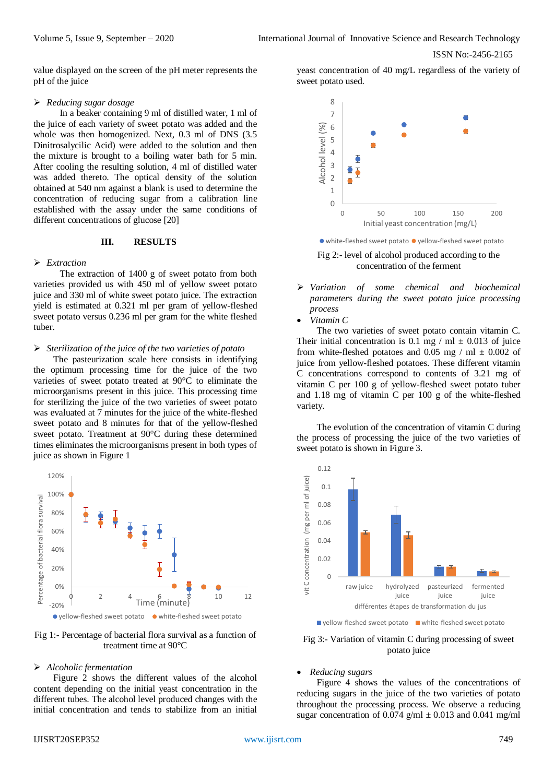value displayed on the screen of the pH meter represents the pH of the juice

#### *Reducing sugar dosage*

In a beaker containing 9 ml of distilled water, 1 ml of the juice of each variety of sweet potato was added and the whole was then homogenized. Next, 0.3 ml of DNS (3.5 Dinitrosalycilic Acid) were added to the solution and then the mixture is brought to a boiling water bath for 5 min. After cooling the resulting solution, 4 ml of distilled water was added thereto. The optical density of the solution obtained at 540 nm against a blank is used to determine the concentration of reducing sugar from a calibration line established with the assay under the same conditions of different concentrations of glucose [20]

## **III. RESULTS**

#### *Extraction*

The extraction of 1400 g of sweet potato from both varieties provided us with 450 ml of yellow sweet potato juice and 330 ml of white sweet potato juice. The extraction yield is estimated at 0.321 ml per gram of yellow-fleshed sweet potato versus 0.236 ml per gram for the white fleshed tuber.

#### *Sterilization of the juice of the two varieties of potato*

The pasteurization scale here consists in identifying the optimum processing time for the juice of the two varieties of sweet potato treated at 90°C to eliminate the microorganisms present in this juice. This processing time for sterilizing the juice of the two varieties of sweet potato was evaluated at 7 minutes for the juice of the white-fleshed sweet potato and 8 minutes for that of the yellow-fleshed sweet potato. Treatment at 90°C during these determined times eliminates the microorganisms present in both types of juice as shown in Figure 1



Fig 1:- Percentage of bacterial flora survival as a function of treatment time at 90°C

#### *Alcoholic fermentation*

Figure 2 shows the different values of the alcohol content depending on the initial yeast concentration in the different tubes. The alcohol level produced changes with the initial concentration and tends to stabilize from an initial

yeast concentration of 40 mg/L regardless of the variety of sweet potato used.



Fig 2:- level of alcohol produced according to the concentration of the ferment

- *Variation of some chemical and biochemical parameters during the sweet potato juice processing process*
- *Vitamin C*

The two varieties of sweet potato contain vitamin C. Their initial concentration is 0.1 mg / ml  $\pm$  0.013 of juice from white-fleshed potatoes and 0.05 mg / ml  $\pm$  0.002 of juice from yellow-fleshed potatoes. These different vitamin C concentrations correspond to contents of 3.21 mg of vitamin C per 100 g of yellow-fleshed sweet potato tuber and 1.18 mg of vitamin C per 100 g of the white-fleshed variety.

The evolution of the concentration of vitamin C during the process of processing the juice of the two varieties of sweet potato is shown in Figure 3.



 $\blacksquare$  yellow-fleshed sweet potato  $\blacksquare$  white-fleshed sweet potato

# Fig 3:- Variation of vitamin C during processing of sweet potato juice

#### *Reducing sugars*

Figure 4 shows the values of the concentrations of reducing sugars in the juice of the two varieties of potato throughout the processing process. We observe a reducing sugar concentration of 0.074 g/ml  $\pm$  0.013 and 0.041 mg/ml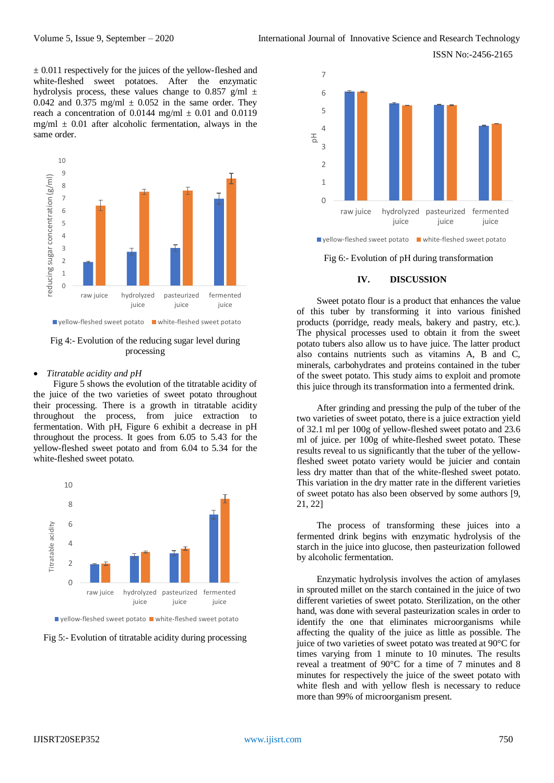ISSN No:-2456-2165

 $\pm$  0.011 respectively for the juices of the yellow-fleshed and white-fleshed sweet potatoes. After the enzymatic hydrolysis process, these values change to 0.857 g/ml  $\pm$ 0.042 and 0.375 mg/ml  $\pm$  0.052 in the same order. They reach a concentration of 0.0144 mg/ml  $\pm$  0.01 and 0.0119 mg/ml  $\pm$  0.01 after alcoholic fermentation, always in the same order.



Fig 4:- Evolution of the reducing sugar level during processing

## *Titratable acidity and pH*

Figure 5 shows the evolution of the titratable acidity of the juice of the two varieties of sweet potato throughout their processing. There is a growth in titratable acidity throughout the process, from juice extraction to fermentation. With pH, Figure 6 exhibit a decrease in pH throughout the process. It goes from 6.05 to 5.43 for the yellow-fleshed sweet potato and from 6.04 to 5.34 for the white-fleshed sweet potato.



 $\blacksquare$  vellow-fleshed sweet potato  $\blacksquare$  white-fleshed sweet potato

Fig 5:- Evolution of titratable acidity during processing



Fig 6:- Evolution of pH during transformation

## **IV. DISCUSSION**

Sweet potato flour is a product that enhances the value of this tuber by transforming it into various finished products (porridge, ready meals, bakery and pastry, etc.). The physical processes used to obtain it from the sweet potato tubers also allow us to have juice. The latter product also contains nutrients such as vitamins A, B and C, minerals, carbohydrates and proteins contained in the tuber of the sweet potato. This study aims to exploit and promote this juice through its transformation into a fermented drink.

After grinding and pressing the pulp of the tuber of the two varieties of sweet potato, there is a juice extraction yield of 32.1 ml per 100g of yellow-fleshed sweet potato and 23.6 ml of juice. per 100g of white-fleshed sweet potato. These results reveal to us significantly that the tuber of the yellowfleshed sweet potato variety would be juicier and contain less dry matter than that of the white-fleshed sweet potato. This variation in the dry matter rate in the different varieties of sweet potato has also been observed by some authors [9, 21, 22]

The process of transforming these juices into a fermented drink begins with enzymatic hydrolysis of the starch in the juice into glucose, then pasteurization followed by alcoholic fermentation.

Enzymatic hydrolysis involves the action of amylases in sprouted millet on the starch contained in the juice of two different varieties of sweet potato. Sterilization, on the other hand, was done with several pasteurization scales in order to identify the one that eliminates microorganisms while affecting the quality of the juice as little as possible. The juice of two varieties of sweet potato was treated at 90°C for times varying from 1 minute to 10 minutes. The results reveal a treatment of 90°C for a time of 7 minutes and 8 minutes for respectively the juice of the sweet potato with white flesh and with yellow flesh is necessary to reduce more than 99% of microorganism present.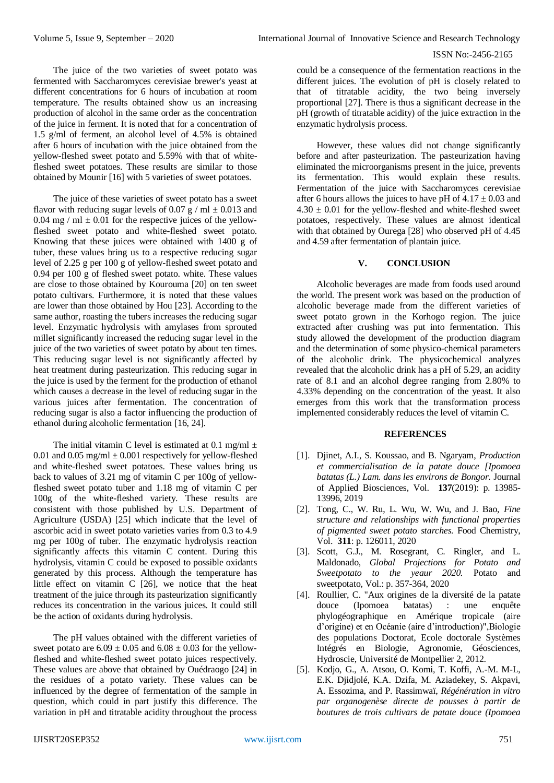The juice of the two varieties of sweet potato was fermented with Saccharomyces cerevisiae brewer's yeast at different concentrations for 6 hours of incubation at room temperature. The results obtained show us an increasing production of alcohol in the same order as the concentration of the juice in ferment. It is noted that for a concentration of 1.5 g/ml of ferment, an alcohol level of 4.5% is obtained after 6 hours of incubation with the juice obtained from the yellow-fleshed sweet potato and 5.59% with that of whitefleshed sweet potatoes. These results are similar to those obtained by Mounir [16] with 5 varieties of sweet potatoes.

The juice of these varieties of sweet potato has a sweet flavor with reducing sugar levels of 0.07 g / ml  $\pm$  0.013 and 0.04 mg / ml  $\pm$  0.01 for the respective juices of the yellowfleshed sweet potato and white-fleshed sweet potato. Knowing that these juices were obtained with 1400 g of tuber, these values bring us to a respective reducing sugar level of 2.25 g per 100 g of yellow-fleshed sweet potato and 0.94 per 100 g of fleshed sweet potato. white. These values are close to those obtained by Kourouma [20] on ten sweet potato cultivars. Furthermore, it is noted that these values are lower than those obtained by Hou [23]. According to the same author, roasting the tubers increases the reducing sugar level. Enzymatic hydrolysis with amylases from sprouted millet significantly increased the reducing sugar level in the juice of the two varieties of sweet potato by about ten times. This reducing sugar level is not significantly affected by heat treatment during pasteurization. This reducing sugar in the juice is used by the ferment for the production of ethanol which causes a decrease in the level of reducing sugar in the various juices after fermentation. The concentration of reducing sugar is also a factor influencing the production of ethanol during alcoholic fermentation [16, 24].

The initial vitamin C level is estimated at 0.1 mg/ml  $\pm$ 0.01 and 0.05 mg/ml  $\pm$  0.001 respectively for yellow-fleshed and white-fleshed sweet potatoes. These values bring us back to values of 3.21 mg of vitamin C per 100g of yellowfleshed sweet potato tuber and 1.18 mg of vitamin C per 100g of the white-fleshed variety. These results are consistent with those published by U.S. Department of Agriculture (USDA) [25] which indicate that the level of ascorbic acid in sweet potato varieties varies from 0.3 to 4.9 mg per 100g of tuber. The enzymatic hydrolysis reaction significantly affects this vitamin C content. During this hydrolysis, vitamin C could be exposed to possible oxidants generated by this process. Although the temperature has little effect on vitamin C [26], we notice that the heat treatment of the juice through its pasteurization significantly reduces its concentration in the various juices. It could still be the action of oxidants during hydrolysis.

The pH values obtained with the different varieties of sweet potato are  $6.09 \pm 0.05$  and  $6.08 \pm 0.03$  for the yellowfleshed and white-fleshed sweet potato juices respectively. These values are above that obtained by Ouédraogo [24] in the residues of a potato variety. These values can be influenced by the degree of fermentation of the sample in question, which could in part justify this difference. The variation in pH and titratable acidity throughout the process

could be a consequence of the fermentation reactions in the different juices. The evolution of pH is closely related to that of titratable acidity, the two being inversely proportional [27]. There is thus a significant decrease in the pH (growth of titratable acidity) of the juice extraction in the enzymatic hydrolysis process.

However, these values did not change significantly before and after pasteurization. The pasteurization having eliminated the microorganisms present in the juice, prevents its fermentation. This would explain these results. Fermentation of the juice with Saccharomyces cerevisiae after 6 hours allows the juices to have pH of  $4.17 \pm 0.03$  and  $4.30 \pm 0.01$  for the yellow-fleshed and white-fleshed sweet potatoes, respectively. These values are almost identical with that obtained by Ourega [28] who observed pH of 4.45 and 4.59 after fermentation of plantain juice.

# **V. CONCLUSION**

Alcoholic beverages are made from foods used around the world. The present work was based on the production of alcoholic beverage made from the different varieties of sweet potato grown in the Korhogo region. The juice extracted after crushing was put into fermentation. This study allowed the development of the production diagram and the determination of some physico-chemical parameters of the alcoholic drink. The physicochemical analyzes revealed that the alcoholic drink has a pH of 5.29, an acidity rate of 8.1 and an alcohol degree ranging from 2.80% to 4.33% depending on the concentration of the yeast. It also emerges from this work that the transformation process implemented considerably reduces the level of vitamin C.

## **REFERENCES**

- [1]. Djinet, A.I., S. Koussao, and B. Ngaryam, *Production et commercialisation de la patate douce [Ipomoea batatas (L.) Lam. dans les environs de Bongor.* Journal of Applied Biosciences, Vol. **137**(2019): p. 13985- 13996, 2019
- [2]. Tong, C., W. Ru, L. Wu, W. Wu, and J. Bao, *Fine structure and relationships with functional properties of pigmented sweet potato starches.* Food Chemistry, Vol. **311**: p. 126011, 2020
- [3]. Scott, G.J., M. Rosegrant, C. Ringler, and L. Maldonado, *Global Projections for Potato and Sweetpotato to the yeaur 2020.* Potato and sweetpotato, Vol.: p. 357-364, 2020
- [4]. Roullier, C. "Aux origines de la diversité de la patate douce (Ipomoea batatas) : une enquête phylogéographique en Amérique tropicale (aire d'origine) et en Océanie (aire d'introduction)",Biologie des populations Doctorat, Ecole doctorale Systèmes Intégrés en Biologie, Agronomie, Géosciences, Hydroscie, Université de Montpellier 2, 2012.
- [5]. Kodjo, G., A. Atsou, O. Komi, T. Koffi, A.-M. M-L, E.K. Djidjolé, K.A. Dzifa, M. Aziadekey, S. Akpavi, A. Essozima, and P. Rassimwaï, *Régénération in vitro par organogenèse directe de pousses à partir de boutures de trois cultivars de patate douce (Ipomoea*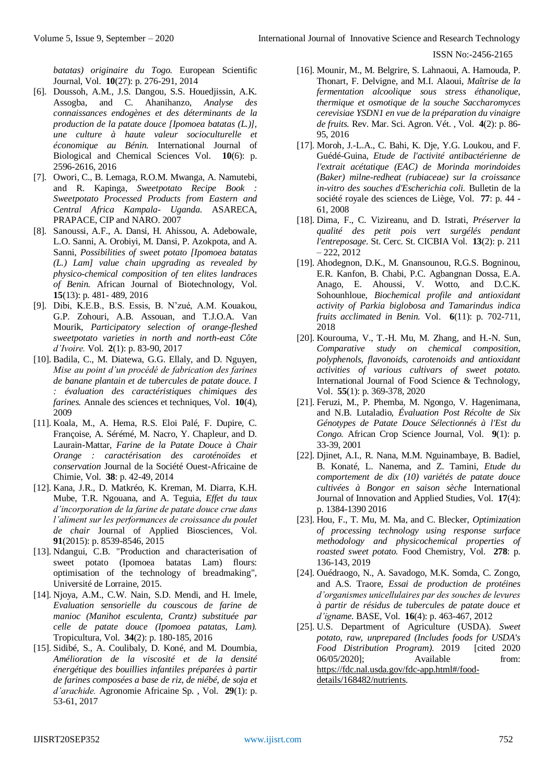*batatas) originaire du Togo.* European Scientific Journal, Vol. **10**(27): p. 276-291, 2014

- [6]. Doussoh, A.M., J.S. Dangou, S.S. Houedjissin, A.K. Assogba, and C. Ahanihanzo, *Analyse des connaissances endogènes et des déterminants de la production de la patate douce [Ipomoea batatas (L.)], une culture à haute valeur socioculturelle et économique au Bénin.* International Journal of Biological and Chemical Sciences Vol. **10**(6): p. 2596-2616, 2016
- [7]. Owori, C., B. Lemaga, R.O.M. Mwanga, A. Namutebi, and R. Kapinga, *Sweetpotato Recipe Book : Sweetpotato Processed Products from Eastern and Central Africa Kampala- Uganda*. ASARECA, PRAPACE, CIP and NARO. 2007
- [8]. Sanoussi, A.F., A. Dansi, H. Ahissou, A. Adebowale, L.O. Sanni, A. Orobiyi, M. Dansi, P. Azokpota, and A. Sanni, *Possibilities of sweet potato [Ipomoea batatas (L.) Lam] value chain upgrading as revealed by physico-chemical composition of ten elites landraces of Benin.* African Journal of Biotechnology, Vol. **15**(13): p. 481- 489, 2016
- [9]. Dibi, K.E.B., B.S. Essis, B. N'zué, A.M. Kouakou, G.P. Zohouri, A.B. Assouan, and T.J.O.A. Van Mourik, *Participatory selection of orange-fleshed sweetpotato varieties in north and north-east Côte d'Ivoire.* Vol. **2**(1): p. 83-90, 2017
- [10]. Badila, C., M. Diatewa, G.G. Ellaly, and D. Nguyen, *Mise au point d'un procédé de fabrication des farines de banane plantain et de tubercules de patate douce. I : évaluation des caractéristiques chimiques des farines.* Annale des sciences et techniques, Vol. **10**(4), 2009
- [11]. Koala, M., A. Hema, R.S. Eloi Palé, F. Dupire, C. Françoise, A. Sérémé, M. Nacro, Y. Chapleur, and D. Laurain-Mattar, *Farine de la Patate Douce à Chair Orange : caractérisation des caroténoïdes et conservation* Journal de la Société Ouest-Africaine de Chimie, Vol. **38**: p. 42-49, 2014
- [12]. Kana, J.R., D. Matkréo, K. Kreman, M. Diarra, K.H. Mube, T.R. Ngouana, and A. Teguia, *Effet du taux d'incorporation de la farine de patate douce crue dans l'aliment sur les performances de croissance du poulet de chair* Journal of Applied Biosciences, Vol. **91**(2015): p. 8539-8546, 2015
- [13]. Ndangui, C.B. "Production and characterisation of sweet potato (Ipomoea batatas Lam) flours: optimisation of the technology of breadmaking", Université de Lorraine, 2015.
- [14]. Njoya, A.M., C.W. Nain, S.D. Mendi, and H. Imele, *Evaluation sensorielle du couscous de farine de manioc (Manihot esculenta, Crantz) substituée par celle de patate douce (Ipomoea patatas, Lam).* Tropicultura, Vol. **34**(2): p. 180-185, 2016
- [15]. Sidibé, S., A. Coulibaly, D. Koné, and M. Doumbia, *Amélioration de la viscosité et de la densité énergétique des bouillies infantiles préparées à partir de farines composées a base de riz, de niébé, de soja et d'arachide.* Agronomie Africaine Sp. , Vol. **29**(1): p. 53-61, 2017
- [16]. Mounir, M., M. Belgrire, S. Lahnaoui, A. Hamouda, P. Thonart, F. Delvigne, and M.I. Alaoui, *Maîtrise de la fermentation alcoolique sous stress éthanolique, thermique et osmotique de la souche Saccharomyces cerevisiae YSDN1 en vue de la préparation du vinaigre de fruits.* Rev. Mar. Sci. Agron. Vét. , Vol. **4**(2): p. 86- 95, 2016
- [17]. Moroh, J.-L.A., C. Bahi, K. Dje, Y.G. Loukou, and F. Guédé-Guina, *Etude de l'activité antibactérienne de l'extrait acétatique (EAC) de Morinda morindoides (Baker) milne-redheat (rubiaceae) sur la croissance in-vitro des souches d'Escherichia coli.* Bulletin de la société royale des sciences de Liège, Vol. **77**: p. 44 - 61, 2008
- [18]. Dima, F., C. Vizireanu, and D. Istrati, *Préserver la qualité des petit pois vert surgélés pendant l'entreposage.* St. Cerc. St. CICBIA Vol. **13**(2): p. 211  $-222, 2012$
- [19]. Ahodegnon, D.K., M. Gnansounou, R.G.S. Bogninou, E.R. Kanfon, B. Chabi, P.C. Agbangnan Dossa, E.A. Anago, E. Ahoussi, V. Wotto, and D.C.K. Sohounhloue, *Biochemical profile and antioxidant activity of Parkia biglobosa and Tamarindus indica fruits acclimated in Benin.* Vol. **6**(11): p. 702-711, 2018
- [20]. Kourouma, V., T.-H. Mu, M. Zhang, and H.-N. Sun, *Comparative study on chemical composition, polyphenols, flavonoids, carotenoids and antioxidant activities of various cultivars of sweet potato.* International Journal of Food Science & Technology, Vol. **55**(1): p. 369-378, 2020
- [21]. Feruzi, M., P. Phemba, M. Ngongo, V. Hagenimana, and N.B. Lutaladio, *Évaluation Post Récolte de Six Génotypes de Patate Douce Sélectionnés à l'Est du Congo.* African Crop Science Journal, Vol. **9**(1): p. 33-39, 2001
- [22]. Djinet, A.I., R. Nana, M.M. Nguinambaye, B. Badiel, B. Konaté, L. Nanema, and Z. Tamini, *Etude du comportement de dix (10) variétés de patate douce cultivées à Bongor en saison sèche* International Journal of Innovation and Applied Studies, Vol. **17**(4): p. 1384-1390 2016
- [23]. Hou, F., T. Mu, M. Ma, and C. Blecker, *Optimization of processing technology using response surface methodology and physicochemical properties of roasted sweet potato.* Food Chemistry, Vol. **278**: p. 136-143, 2019
- [24]. Ouédraogo, N., A. Savadogo, M.K. Somda, C. Zongo, and A.S. Traore, *Essai de production de protéines d'organismes unicellulaires par des souches de levures à partir de résidus de tubercules de patate douce et d'igname.* BASE, Vol. **16**(4): p. 463-467, 2012
- [25]. U.S. Department of Agriculture (USDA). *Sweet potato, raw, unprepared (Includes foods for USDA's Food Distribution Program)*. 2019 [cited 2020 06/05/2020]; Available from: [https://fdc.nal.usda.gov/fdc-app.html#/food](https://fdc.nal.usda.gov/fdc-app.html#/food-details/168482/nutrients)[details/168482/nutrients.](https://fdc.nal.usda.gov/fdc-app.html#/food-details/168482/nutrients)